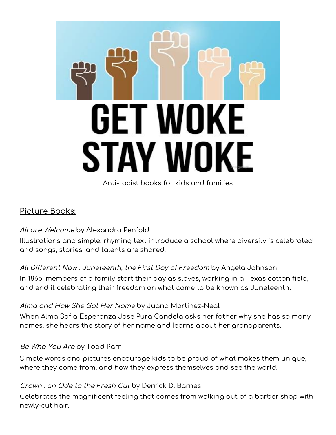

# Picture Books:

#### All are [Welcome](https://catalog.bccls.org/polaris/search/title.aspx?ctx=35.1033.0.0.7&pos=2&cn=1720321) by Alexandra [Penfold](https://catalog.bccls.org/polaris/search/browse.aspx?ctx=35.1033.0.0.7&type=Browse&by=AU&term=Penfold%2c+Alexandra%2c&page=0)

Illustrations and simple, rhyming text introduce a school where diversity is celebrated and songs, stories, and talents are shared.

#### All Different Now : [Juneteenth,](https://catalog.bccls.org/polaris/search/title.aspx?ctx=35.1033.0.0.7&pos=2&cn=1189901) the First Day of Freedom by Angela [Johnson](https://catalog.bccls.org/polaris/search/browse.aspx?ctx=35.1033.0.0.7&type=Browse&by=AU&term=Johnson%2c+Angela%2c+1961-&page=0)

In 1865, members of a family start their day as slaves, working in a Texas cotton field, and end it celebrating their freedom on what came to be known as Juneteenth.

#### Alma and How She Got Her [Name](https://catalog.bccls.org/polaris/search/title.aspx?ctx=35.1033.0.0.7&pos=1&cn=1677683) by Juana [Martinez-Neal](https://catalog.bccls.org/polaris/search/browse.aspx?ctx=35.1033.0.0.7&type=Browse&by=AU&term=Martinez-Neal%2c+Juana%2c&page=0)

When Alma Sofia Esperanza Jose Pura Candela asks her father why she has so many names, she hears the story of her name and learns about her grandparents.

#### Be [Who](https://catalog.bccls.org/polaris/search/title.aspx?ctx=35.1033.0.0.7&pos=10&cn=1584869) You Are by Todd [Parr](https://catalog.bccls.org/polaris/search/browse.aspx?ctx=35.1033.0.0.7&type=Browse&by=AU&term=Parr%2c+Todd%2c&page=0)

Simple words and pictures encourage kids to be proud of what makes them unique, where they come from, and how they express themselves and see the world.

#### [Crown](https://catalog.bccls.org/polaris/search/title.aspx?ctx=35.1033.0.0.7&pos=1&cn=1648766) : an Ode to the Fresh Cut by [Derrick](https://catalog.bccls.org/polaris/search/browse.aspx?ctx=35.1033.0.0.7&type=Browse&by=AU&term=Barnes%2c+Derrick+D%2c&page=0) D. Barnes

Celebrates the magnificent feeling that comes from walking out of a barber shop with newly-cut hair.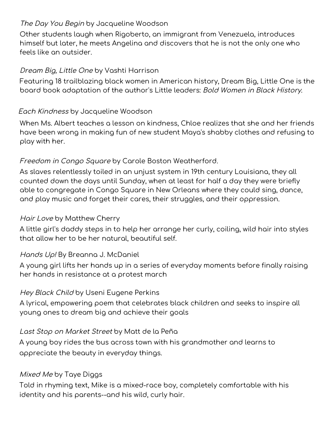### The Day You [Begin](https://catalog.bccls.org/polaris/search/title.aspx?ctx=35.1033.0.0.7&pos=1&cn=1722742) by [Jacqueline](https://catalog.bccls.org/polaris/search/browse.aspx?ctx=35.1033.0.0.7&type=Browse&by=AU&term=Woodson%2c+Jacqueline%2c&page=0) Woodson

Other students laugh when Rigoberto, an immigrant from Venezuela, introduces himself but later, he meets Angelina and discovers that he is not the only one who feels like an outsider.

### [Dream](https://catalog.bccls.org/polaris/search/title.aspx?ctx=35.1033.0.0.7&pos=4&cn=1737122) Big, Little One by Vashti [Harrison](https://catalog.bccls.org/polaris/search/browse.aspx?ctx=35.1033.0.0.7&type=Browse&by=AU&term=Harrison%2c+Vashti%2c&page=0)

Featuring 18 trailblazing black women in American history, Dream Big, Little One is the board book adaptation of the author's Little leaders: Bold Women in Black History.

### Each [Kindness](https://catalog.bccls.org/polaris/search/title.aspx?ctx=35.1033.0.0.7&pos=1&cn=1024279) by [Jacqueline](https://catalog.bccls.org/polaris/search/browse.aspx?ctx=35.1033.0.0.7&type=Browse&by=AU&term=Woodson%2c+Jacqueline.&page=0) Woodson

When Ms. Albert teaches a lesson on kindness, Chloe realizes that she and her friends have been wrong in making fun of new student Maya's shabby clothes and refusing to play with her.

### Freedom in Congo [Square](https://catalog.bccls.org/polaris/search/title.aspx?ctx=35.1033.0.0.7&pos=1&cn=1534704) by Carole Boston [Weatherford.](https://catalog.bccls.org/polaris/search/browse.aspx?ctx=35.1033.0.0.7&type=Browse&by=AU&term=Weatherford%2c+Carole+Boston.&page=0)

As slaves relentlessly toiled in an unjust system in 19th century Louisiana, they all counted down the days until Sunday, when at least for half a day they were briefly able to congregate in Congo Square in New Orleans where they could sing, dance, and play music and forget their cares, their struggles, and their oppression.

#### Hair [Love](https://catalog.bccls.org/polaris/search/title.aspx?ctx=35.1033.0.0.7&pos=1&cn=1788922) by Matthew [Cherry](https://catalog.bccls.org/polaris/search/browse.aspx?ctx=35.1033.0.0.7&type=Browse&by=AU&term=Cherry%2c+Matthew+A%2c&page=0)

A little girl's daddy steps in to help her arrange her curly, coiling, wild hair into styles that allow her to be her natural, beautiful self.

#### [Hands](https://catalog.bccls.org/polaris/search/title.aspx?ctx=35.1033.0.0.7&pos=1&cn=1751568) Up! By [Breanna](https://catalog.bccls.org/polaris/search/browse.aspx?ctx=35.1033.0.0.7&type=Browse&by=AU&term=McDaniel%2c+Breanna+J.%2c&page=0) J. [McDaniel](https://catalog.bccls.org/polaris/search/browse.aspx?ctx=35.1033.0.0.7&type=Browse&by=AU&term=McDaniel%2c+Breanna+J.%2c&page=0)

A young girl lifts her hands up in a series of everyday moments before finally raising her hands in resistance at a protest march

#### Hey [Black](https://catalog.bccls.org/polaris/search/title.aspx?ctx=35.1033.0.0.7&pos=1&cn=1648188) Child by Useni [Eugene](https://catalog.bccls.org/polaris/search/browse.aspx?ctx=35.1033.0.0.7&type=Browse&by=AU&term=Perkins%2c+Useni+Eugene%2c&page=0) Perkins

A lyrical, empowering poem that celebrates black children and seeks to inspire all young ones to dream big and achieve their goals

#### Last Stop on [Market](https://catalog.bccls.org/polaris/search/title.aspx?ctx=35.1033.0.0.7&pos=2&cn=1334876) Street by Matt de la [Peña](https://catalog.bccls.org/polaris/search/browse.aspx?ctx=35.1033.0.0.7&type=Browse&by=AU&term=de+la+Pen%cc%83a%2c+Matt.&page=0)

A young boy rides the bus across town with his grandmother and learns to appreciate the beauty in everyday things.

#### [Mixed](https://catalog.bccls.org/polaris/search/title.aspx?ctx=35.1033.0.0.7&pos=1&cn=1522151) Me by Taye [Diggs](https://catalog.bccls.org/polaris/search/browse.aspx?ctx=35.1033.0.0.7&type=Browse&by=AU&term=Diggs%2c+Taye%2c&page=0)

Told in rhyming text, Mike is a mixed-race boy, completely comfortable with his identity and his parents--and his wild, curly hair.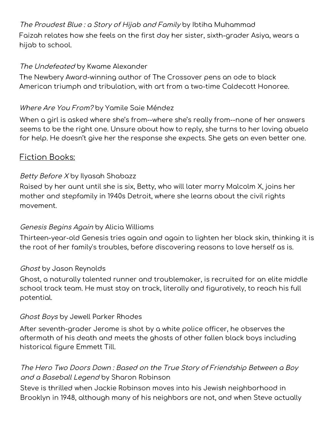The [Proudest](https://catalog.bccls.org/polaris/search/title.aspx?ctx=35.1033.0.0.7&pos=1&cn=1802442) Blue : <sup>a</sup> Story of Hijab and Family by Ibtiha [Muhammad](https://catalog.bccls.org/polaris/search/browse.aspx?ctx=35.1033.0.0.7&type=Browse&by=AU&term=Muhammad%2c+Ibtihaj%2c+1985-&page=0) Faizah relates how she feels on the first day her sister, sixth-grader Asiya, wears a hijab to school.

### The [Undefeated](https://catalog.bccls.org/polaris/search/title.aspx?ctx=35.1033.0.0.7&pos=2&cn=1770667) by Kwame [Alexander](https://catalog.bccls.org/polaris/search/browse.aspx?ctx=35.1033.0.0.7&type=Browse&by=AU&term=Alexander%2c+Kwame%2c&page=0)

The Newbery Award-winning author of The Crossover pens an ode to black American triumph and tribulation, with art from a two-time Caldecott Honoree.

### [Where](https://catalog.bccls.org/polaris/search/title.aspx?ctx=35.1033.0.0.7&pos=17&cn=1792429) Are You From? by Yamile Saie [Méndez](https://catalog.bccls.org/polaris/search/browse.aspx?ctx=35.1033.0.0.7&type=Browse&by=AU&term=M%c3%a9ndez%2c+Yamile+Saied%2c&page=0)

When a girl is asked where she's from--where she's really from--none of her answers seems to be the right one. Unsure about how to reply, she turns to her loving abuelo for help. He doesn't give her the response she expects. She gets an even better one.

# Fiction Books:

### [Betty](https://catalog.bccls.org/polaris/search/title.aspx?ctx=35.1033.0.0.7&pos=1&cn=1662498) Before X by Ilyasah [Shabazz](https://catalog.bccls.org/polaris/search/browse.aspx?ctx=35.1033.0.0.7&type=Browse&by=AU&term=Shabazz%2c+Ilyasah%2c&page=0)

Raised by her aunt until she is six, Betty, who will later marry Malcolm X, joins her mother and stepfamily in 1940s Detroit, where she learns about the civil rights movement.

### Genesis [Begins](https://catalog.bccls.org/polaris/search/title.aspx?ctx=35.1033.0.0.7&pos=2&cn=1746569) Again by Alicia [Williams](https://catalog.bccls.org/polaris/search/browse.aspx?ctx=35.1033.0.0.7&type=Browse&by=AU&term=Williams%2c+Alicia%2c+1970-&page=0)

Thirteen-year-old Genesis tries again and again to lighten her black skin, thinking it is the root of her family's troubles, before discovering reasons to love herself as is.

#### [Ghost](https://catalog.bccls.org/polaris/search/title.aspx?ctx=35.1033.0.0.7&pos=14&cn=1716818) by Jason [Reynolds](https://catalog.bccls.org/polaris/search/browse.aspx?ctx=35.1033.0.0.7&type=Browse&by=AU&term=Reynolds%2c+Jason%2c&page=0)

Ghost, a naturally talented runner and troublemaker, is recruited for an elite middle school track team. He must stay on track, literally and figuratively, to reach his full potential.

#### [Ghost](https://catalog.bccls.org/polaris/search/title.aspx?ctx=35.1033.0.0.7&pos=2&cn=1677844) Boys by Jewell [Parker](https://catalog.bccls.org/polaris/search/browse.aspx?ctx=35.1033.0.0.7&type=Browse&by=AU&term=Rhodes%2c+Jewell+Parker%2c&page=0) [Rhodes](https://catalog.bccls.org/polaris/search/browse.aspx?ctx=35.1033.0.0.7&type=Browse&by=AU&term=Rhodes%2c+Jewell+Parker%2c&page=0)

After seventh-grader Jerome is shot by a white police officer, he observes the aftermath of his death and meets the ghosts of other fallen black boys including historical figure Emmett Till.

# The Hero Two Doors Down : Based on the True Story of [Friendship](https://catalog.bccls.org/polaris/search/title.aspx?ctx=35.1033.0.0.7&pos=5&cn=1539103) Between <sup>a</sup> Boy and a Baseball [Legend](https://catalog.bccls.org/polaris/search/title.aspx?ctx=35.1033.0.0.7&pos=5&cn=1539103) by Sharon Robinson

Steve is thrilled when Jackie Robinson moves into his Jewish neighborhood in Brooklyn in 1948, although many of his neighbors are not, and when Steve actually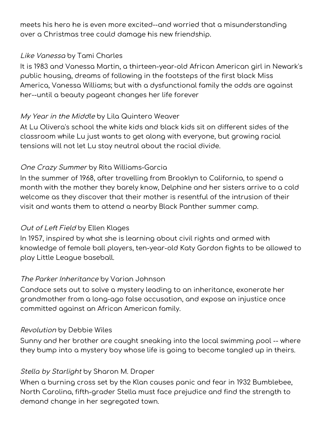meets his hero he is even more excited--and worried that a misunderstanding over a Christmas tree could damage his new friendship.

#### Like [Vanessa](https://catalog.bccls.org/polaris/search/title.aspx?ctx=35.1033.0.0.7&pos=17&cn=1667719) by Tami [Charles](https://catalog.bccls.org/polaris/search/browse.aspx?ctx=35.1033.0.0.7&type=Browse&by=AU&term=Charles%2c+Tami%2c&page=0)

It is 1983 and Vanessa Martin, a thirteen-year-old African American girl in Newark's public housing, dreams of following in the footsteps of the first black Miss America, Vanessa Williams; but with a dysfunctional family the odds are against her--until a beauty pageant changes her life forever

### My Year in the [Middle](https://catalog.bccls.org/polaris/search/title.aspx?ctx=35.1033.0.0.7&pos=22&cn=1718939) by Lila [Quintero](https://catalog.bccls.org/polaris/search/browse.aspx?ctx=35.1033.0.0.7&type=Browse&by=AU&term=Weaver%2c+Lila+Quintero%2c&page=0) [Weaver](https://catalog.bccls.org/polaris/search/browse.aspx?ctx=35.1033.0.0.7&type=Browse&by=AU&term=Weaver%2c+Lila+Quintero%2c&page=0)

At Lu Olivera's school the white kids and black kids sit on different sides of the classroom while Lu just wants to get along with everyone, but growing racial tensions will not let Lu stay neutral about the racial divide.

# One Crazy [Summer](https://catalog.bccls.org/polaris/search/title.aspx?ctx=35.1033.0.0.7&pos=53&cn=762078) by Rita [Williams-Garcia](https://catalog.bccls.org/polaris/search/browse.aspx?ctx=35.1033.0.0.7&type=Browse&by=AU&term=Williams-Garcia%2c+Rita.&page=0)

In the summer of 1968, after travelling from Brooklyn to California, to spend a month with the mother they barely know, Delphine and her sisters arrive to a cold welcome as they discover that their mother is resentful of the intrusion of their visit and wants them to attend a nearby Black Panther summer camp.

### Out of Left [Field](https://catalog.bccls.org/polaris/search/title.aspx?ctx=35.1033.0.0.7&pos=23&cn=1680618) by Ellen [Klages](https://catalog.bccls.org/polaris/search/browse.aspx?ctx=35.1033.0.0.7&type=Browse&by=AU&term=Klages%2c+Ellen%2c+1954-&page=0)

In 1957, inspired by what she is learning about civil rights and armed with knowledge of female ball players, ten-year-old Katy Gordon fights to be allowed to play Little League baseball.

### The Parker [Inheritance](https://catalog.bccls.org/polaris/search/title.aspx?ctx=35.1033.0.0.7&pos=1&cn=1674768) by Varian [Johnson](https://catalog.bccls.org/polaris/search/browse.aspx?ctx=35.1033.0.0.7&type=Browse&by=AU&term=Johnson%2c+Varian%2c&page=0)

Candace sets out to solve a mystery leading to an inheritance, exonerate her grandmother from a long-ago false accusation, and expose an injustice once committed against an African American family.

#### [Revolution](https://catalog.bccls.org/polaris/search/title.aspx?ctx=35.1033.0.0.7&pos=1&cn=1315984) by Debbie [Wiles](https://catalog.bccls.org/polaris/search/browse.aspx?ctx=35.1033.0.0.7&type=Browse&by=AU&term=Wiles%2c+Debbie%2c&page=0)

Sunny and her brother are caught sneaking into the local swimming pool -- where they bump into a mystery boy whose life is going to become tangled up in theirs.

### Stella by [Starlight](https://catalog.bccls.org/polaris/search/title.aspx?ctx=35.1033.0.0.7&pos=9&cn=1336973) by [Sharon M.](https://catalog.bccls.org/polaris/search/browse.aspx?ctx=35.1033.0.0.7&type=Browse&by=AU&term=Draper%2c+Sharon+M.&page=0) Draper

When a burning cross set by the Klan causes panic and fear in 1932 Bumblebee, North Carolina, fifth-grader Stella must face prejudice and find the strength to demand change in her segregated town.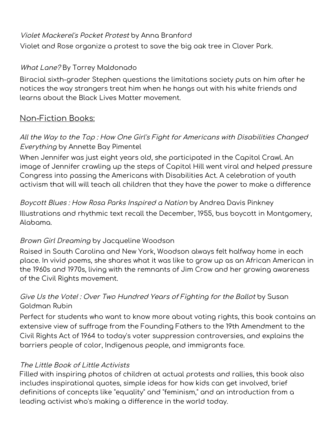### Violet [Mackerel's](https://catalog.bccls.org/polaris/search/title.aspx?ctx=35.1033.0.0.7&pos=12&cn=1324281) Pocket Protest by Anna [Branford](https://catalog.bccls.org/polaris/search/browse.aspx?ctx=35.1033.0.0.7&type=Browse&by=AU&term=Branford%2c+Anna.&page=0)

Violet and Rose organize a protest to save the big oak tree in Clover Park.

### What [Lane?](https://catalog.bccls.org/polaris/search/title.aspx?ctx=35.1033.0.0.7&pos=1&cn=1839187) By [Torrey](https://catalog.bccls.org/polaris/search/browse.aspx?ctx=35.1033.0.0.7&type=Browse&by=AU&term=Maldonado%2c+Torrey%2c&page=0) [Maldonado](https://catalog.bccls.org/polaris/search/browse.aspx?ctx=35.1033.0.0.7&type=Browse&by=AU&term=Maldonado%2c+Torrey%2c&page=0)

Biracial sixth-grader Stephen questions the limitations society puts on him after he notices the way strangers treat him when he hangs out with his white friends and learns about the Black Lives Matter movement.

# Non-Fiction Books:

### All the Way to the Top : How One Girl's Fight for Americans with Disabilities [Changed](https://catalog.bccls.org/polaris/search/title.aspx?ctx=35.1033.0.0.7&pos=1&cn=1838357) [Everything](https://catalog.bccls.org/polaris/search/title.aspx?ctx=35.1033.0.0.7&pos=1&cn=1838357) by Annette Bay [Pimentel](https://catalog.bccls.org/polaris/search/browse.aspx?ctx=35.1033.0.0.7&type=Browse&by=AU&term=Bay+Pimentel%2c+Annette%2c&page=0)

When Jennifer was just eight years old, she participated in the Capitol Crawl. An image of Jennifer crawling up the steps of Capitol Hill went viral and helped pressure Congress into passing the Americans with Disabilities Act. A celebration of youth activism that will will teach all children that they have the power to make a difference

Boycott Blues : How Rosa Parks [Inspired](https://catalog.bccls.org/polaris/search/title.aspx?ctx=35.1033.0.0.7&pos=60&cn=695751) <sup>a</sup> Nation by [Andrea](https://catalog.bccls.org/polaris/search/browse.aspx?ctx=35.1033.0.0.7&type=Browse&by=AU&term=Pinkney%2c+Andrea+Davis.&page=0) Davis [Pinkney](https://catalog.bccls.org/polaris/search/browse.aspx?ctx=35.1033.0.0.7&type=Browse&by=AU&term=Pinkney%2c+Andrea+Davis.&page=0) Illustrations and rhythmic text recall the December, 1955, bus boycott in Montgomery, Alabama.

#### Brown Girl [Dreaming](https://catalog.bccls.org/polaris/search/title.aspx?ctx=35.1033.0.0.7&pos=4&cn=1323190) by [Jacqueline](https://catalog.bccls.org/polaris/search/browse.aspx?ctx=35.1033.0.0.7&type=Browse&by=AU&term=Woodson%2c+Jacqueline.&page=0) [Woodson](https://catalog.bccls.org/polaris/search/browse.aspx?ctx=35.1033.0.0.7&type=Browse&by=AU&term=Woodson%2c+Jacqueline.&page=0)

Raised in South Carolina and New York, Woodson always felt halfway home in each place. In vivid poems, she shares what it was like to grow up as an African American in the 1960s and 1970s, living with the remnants of Jim Crow and her growing awareness of the Civil Rights movement.

# Give Us the Vote! : Over [Two Hundred](https://catalog.bccls.org/polaris/search/title.aspx?ctx=35.1033.0.0.7&pos=9&cn=1833195) Years of Fighting for the Ballot by [Susan](https://catalog.bccls.org/polaris/search/browse.aspx?ctx=35.1033.0.0.7&type=Browse&by=AU&term=Rubin%2c+Susan+Goldman%2c&page=0) [Goldman](https://catalog.bccls.org/polaris/search/browse.aspx?ctx=35.1033.0.0.7&type=Browse&by=AU&term=Rubin%2c+Susan+Goldman%2c&page=0) Rubin

Perfect for students who want to know more about voting rights, this book contains an extensive view of suffrage from the Founding Fathers to the 19th Amendment to the Civil Rights Act of 1964 to today's voter suppression controversies, and explains the barriers people of color, Indigenous people, and immigrants face.

#### The Little Book of Little [Activists](https://catalog.bccls.org/polaris/search/title.aspx?ctx=35.1033.0.0.7&pos=8&cn=1647519)

Filled with inspiring photos of children at actual protests and rallies, this book also includes inspirational quotes, simple ideas for how kids can get involved, brief definitions of concepts like "equality" and "feminism," and an introduction from a leading activist who's making a difference in the world today.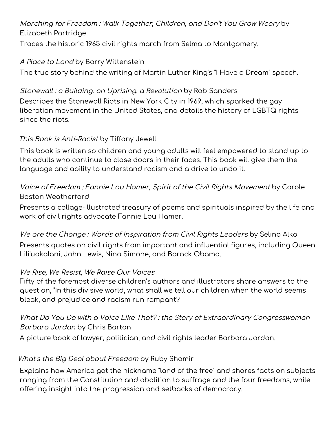# [Marching](https://catalog.bccls.org/polaris/search/title.aspx?ctx=35.1033.0.0.7&pos=58&cn=738065) for Freedom : Walk Together, Children, and Don't You Grow Weary by Elizabeth [Partridge](https://catalog.bccls.org/polaris/search/browse.aspx?ctx=35.1033.0.0.7&type=Browse&by=AU&term=Partridge%2c+Elizabeth.&page=0)

Traces the historic 1965 civil rights march from Selma to Montgomery.

### A [Place](https://catalog.bccls.org/polaris/search/title.aspx?ctx=35.1033.0.0.7&pos=14&cn=1806925) to Land by Barry [Wittenstein](https://catalog.bccls.org/polaris/search/browse.aspx?ctx=35.1033.0.0.7&type=Browse&by=AU&term=Wittenstein%2c+Barry%2c&page=0)

The true story behind the writing of Martin Luther King's "I Have a Dream" speech.

# Stonewall : <sup>a</sup> Building. an [Uprising.](https://catalog.bccls.org/polaris/search/title.aspx?ctx=35.1033.0.0.7&pos=2&cn=1784725) <sup>a</sup> Revolution by Rob [Sanders](https://catalog.bccls.org/polaris/search/browse.aspx?ctx=35.1033.0.0.7&type=Browse&by=AU&term=Sanders%2c+Rob%2c+1958-&page=0)

Describes the Stonewall Riots in New York City in 1969, which sparked the gay liberation movement in the United States, and details the history of LGBTQ rights since the riots.

### This Book is [Anti-Racist](https://catalog.bccls.org/polaris/search/title.aspx?ctx=35.1033.0.0.7&pos=1&cn=1828627) by [Tiffany](https://catalog.bccls.org/polaris/search/browse.aspx?ctx=35.1033.0.0.7&type=Browse&by=AU&term=Jewell%2c+Tiffany%2c&page=0) [Jewell](https://catalog.bccls.org/polaris/search/browse.aspx?ctx=35.1033.0.0.7&type=Browse&by=AU&term=Jewell%2c+Tiffany%2c&page=0)

This book is written so children and young adults will feel empowered to stand up to the adults who continue to close doors in their faces. This book will give them the language and ability to understand racism and a drive to undo it.

## Voice of Freedom : Fannie Lou Hamer, Spirit of the Civil Rights [Movement](https://catalog.bccls.org/polaris/search/title.aspx?ctx=35.1033.0.0.7&pos=42&cn=1514852) by [Carole](https://catalog.bccls.org/polaris/search/browse.aspx?ctx=35.1033.0.0.7&type=Browse&by=AU&term=Weatherford%2c+Carole+Boston%2c+1956-&page=0) Boston [Weatherford](https://catalog.bccls.org/polaris/search/browse.aspx?ctx=35.1033.0.0.7&type=Browse&by=AU&term=Weatherford%2c+Carole+Boston%2c+1956-&page=0)

Presents a collage-illustrated treasury of poems and spirituals inspired by the life and work of civil rights advocate Fannie Lou Hamer.

We are the Change: Words of [Inspiration](https://catalog.bccls.org/polaris/search/title.aspx?ctx=35.1033.0.0.7&pos=16&cn=1787218) from Civil Rights Leaders by [Selino](https://catalog.bccls.org/polaris/search/browse.aspx?ctx=35.1033.0.0.7&type=Browse&by=AU&term=Alko%2c+Selino%2c&page=0) Alko Presents quotes on civil rights from important and influential figures, including Queen Lili'uokalani, John Lewis, Nina Simone, and Barack Obama.

### We Rise, We [Resist,](https://catalog.bccls.org/polaris/search/title.aspx?ctx=35.1033.0.0.7&pos=1&cn=1728932) We Raise Our Voices

Fifty of the foremost diverse children's authors and illustrators share answers to the question, "In this divisive world, what shall we tell our children when the world seems bleak, and prejudice and racism run rampant?

# What Do You Do with <sup>a</sup> Voice Like That? : the Story of Extraordinary [Congresswoman](https://catalog.bccls.org/polaris/search/title.aspx?ctx=35.1033.0.0.7&pos=27&cn=1731780) [Barbara](https://catalog.bccls.org/polaris/search/title.aspx?ctx=35.1033.0.0.7&pos=27&cn=1731780) Jordan by Chris [Barton](https://catalog.bccls.org/polaris/search/browse.aspx?ctx=35.1033.0.0.7&type=Browse&by=AU&term=Barton%2c+Chris%2c&page=0)

A picture book of lawyer, politician, and civil rights leader Barbara Jordan.

### What's the Big Deal about [Freedom](https://catalog.bccls.org/polaris/search/title.aspx?ctx=35.1033.0.0.7&pos=34&cn=1612262) by Ruby [Shamir](https://catalog.bccls.org/polaris/search/browse.aspx?ctx=35.1033.0.0.7&type=Browse&by=AU&term=Shamir%2c+Ruby%2c&page=0)

Explains how America got the nickname "land of the free" and shares facts on subjects ranging from the Constitution and abolition to suffrage and the four freedoms, while offering insight into the progression and setbacks of democracy.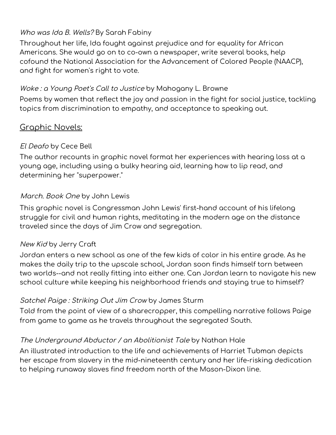### Who was Ida B. [Wells?](https://catalog.bccls.org/polaris/search/title.aspx?ctx=35.1033.0.0.7&pos=6&cn=1846535) By Sarah [Fabin](https://catalog.bccls.org/polaris/search/browse.aspx?ctx=35.1033.0.0.7&type=Browse&by=AU&term=Fabiny%2c+Sarah%2c&page=0)y

Throughout her life, Ida fought against prejudice and for equality for African Americans. She would go on to co-own a newspaper, write several books, help cofound the National Association for the Advancement of Colored People (NAACP), and fight for women's right to vote.

### Woke : <sup>a</sup> [Young](https://catalog.bccls.org/polaris/search/title.aspx?ctx=35.1033.0.0.7&pos=2&cn=1839666) Poet's Call to Justice by [Mahogany](https://catalog.bccls.org/polaris/search/browse.aspx?ctx=35.1033.0.0.7&type=Browse&by=AU&term=Browne%2c+Mahogany+L.%2c&page=0) L. Browne

Poems by women that reflect the joy and passion in the fight for social justice, tackling topics from discrimination to empathy, and acceptance to speaking out.

# Graphic Novels:

### El [Deafo](https://catalog.bccls.org/polaris/search/title.aspx?ctx=35.1033.0.0.7&pos=1&cn=1328547) by [Cece](https://catalog.bccls.org/polaris/search/browse.aspx?ctx=35.1033.0.0.7&type=Browse&by=AU&term=Bell%2c+Cece%2c&page=0) Bell

The author recounts in graphic novel format her experiences with hearing loss at a young age, including using a bulky hearing aid, learning how to lip read, and determining her "superpower."

### [March.](https://catalog.bccls.org/polaris/search/title.aspx?ctx=1.1033.0.0.7&pos=2&cn=1587421) Book One by John [Lewis](https://catalog.bccls.org/polaris/search/browse.aspx?ctx=1.1033.0.0.7&type=Browse&by=AU&term=Lewis%2c+John%2c+1940+February+21-&page=0)

This graphic novel is Congressman John Lewis' first-hand account of his lifelong struggle for civil and human rights, meditating in the modern age on the distance traveled since the days of Jim Crow and segregation.

#### [New](https://catalog.bccls.org/polaris/search/title.aspx?ctx=35.1033.0.0.7&pos=1&cn=1759853) Kid by Jerry [Craft](https://catalog.bccls.org/polaris/search/browse.aspx?ctx=35.1033.0.0.7&type=Browse&by=AU&term=Craft%2c+Jerry%2c&page=0)

Jordan enters a new school as one of the few kids of color in his entire grade. As he makes the daily trip to the upscale school, Jordan soon finds himself torn between two worlds--and not really fitting into either one. Can Jordan learn to navigate his new school culture while keeping his neighborhood friends and staying true to himself?

#### Satchel Paige : [Striking](https://catalog.bccls.org/polaris/search/title.aspx?ctx=35.1033.0.0.7&pos=1&cn=652424) Out Jim Crow by James [Sturm](https://catalog.bccls.org/polaris/search/browse.aspx?ctx=35.1033.0.0.7&type=Browse&by=AU&term=Sturm%2c+James%2c+1965-&page=0)

Told from the point of view of a sharecropper, this compelling narrative follows Paige from game to game as he travels throughout the segregated South.

#### The [Underground](https://catalog.bccls.org/polaris/search/title.aspx?ctx=35.1033.0.0.7&pos=1&cn=1352911) Abductor / an Abolitionist Tale by [Nathan](https://catalog.bccls.org/polaris/search/browse.aspx?ctx=35.1033.0.0.7&type=Browse&by=AU&term=Hale%2c+Nathan%2c+1976-&page=0) Hale

An illustrated introduction to the life and achievements of Harriet Tubman depicts her escape from slavery in the mid-nineteenth century and her life-risking dedication to helping runaway slaves find freedom north of the Mason-Dixon line.